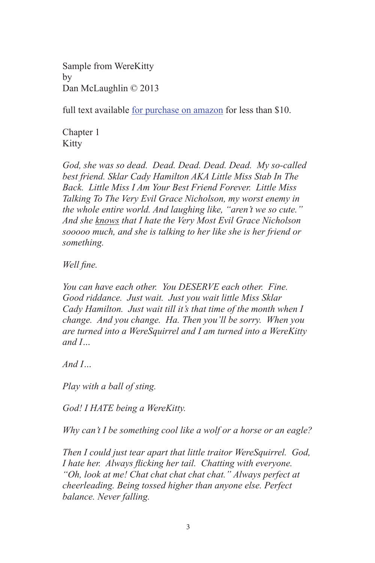Sample from WereKitty by Dan McLaughlin © 2013

full text available [for purchase on amazon](http://www.amazon.com/WereKitty-Dan-McLaughlin/dp/1482636670/ref%3Dsr_1_1%3Fs%3Dbooks%26ie%3DUTF8%26qid%3D1366014577%26sr%3D1-1%26keywords%3Dwerekitty%2Bdan%2Bmclaughlin) for less than \$10.

Chapter 1 Kitty

*God, she was so dead. Dead. Dead. Dead. Dead. My so-called best friend. Sklar Cady Hamilton AKA Little Miss Stab In The Back. Little Miss I Am Your Best Friend Forever. Little Miss Talking To The Very Evil Grace Nicholson, my worst enemy in the whole entire world. And laughing like, "aren't we so cute." And she knows that I hate the Very Most Evil Grace Nicholson sooooo much, and she is talking to her like she is her friend or something.* 

*Well fine.*

*You can have each other. You DESERVE each other. Fine. Good riddance. Just wait. Just you wait little Miss Sklar Cady Hamilton. Just wait till it's that time of the month when I change. And you change. Ha. Then you'll be sorry. When you are turned into a WereSquirrel and I am turned into a WereKitty and I…* 

*And I…*

*Play with a ball of sting.*

*God! I HATE being a WereKitty.*

*Why can't I be something cool like a wolf or a horse or an eagle?*

*Then I could just tear apart that little traitor WereSquirrel. God, I hate her. Always flicking her tail. Chatting with everyone. "Oh, look at me! Chat chat chat chat chat." Always perfect at cheerleading. Being tossed higher than anyone else. Perfect balance. Never falling.*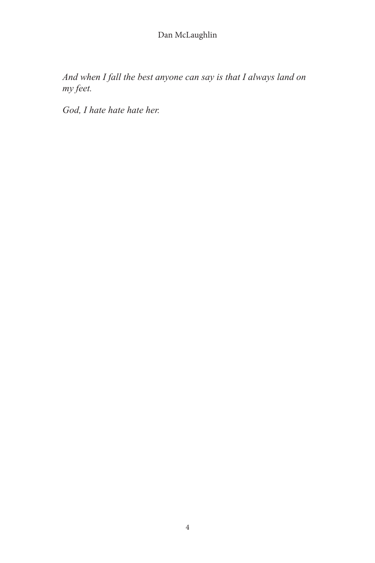*And when I fall the best anyone can say is that I always land on my feet.*

*God, I hate hate hate her.*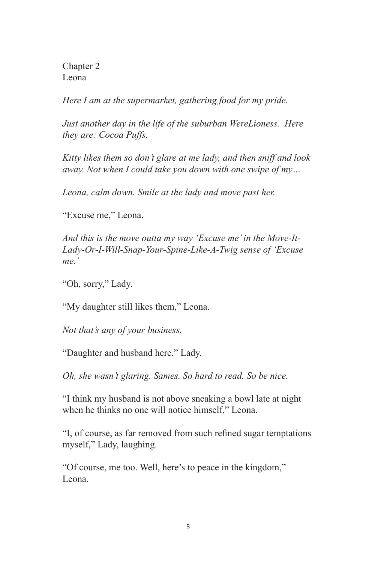Chapter 2 Leona

*Here I am at the supermarket, gathering food for my pride.*

*Just another day in the life of the suburban WereLioness. Here they are: Cocoa Puffs.*

*Kitty likes them so don't glare at me lady, and then sniff and look away. Not when I could take you down with one swipe of my…*

*Leona, calm down. Smile at the lady and move past her.*

"Excuse me," Leona.

*And this is the move outta my way 'Excuse me' in the Move-It-Lady-Or-I-Will-Snap-Your-Spine-Like-A-Twig sense of 'Excuse me.'*

"Oh, sorry," Lady.

"My daughter still likes them," Leona.

*Not that's any of your business.*

"Daughter and husband here," Lady.

*Oh, she wasn't glaring. Sames. So hard to read. So be nice.*

"I think my husband is not above sneaking a bowl late at night when he thinks no one will notice himself," Leona.

"I, of course, as far removed from such refined sugar temptations myself," Lady, laughing.

"Of course, me too. Well, here's to peace in the kingdom," Leona.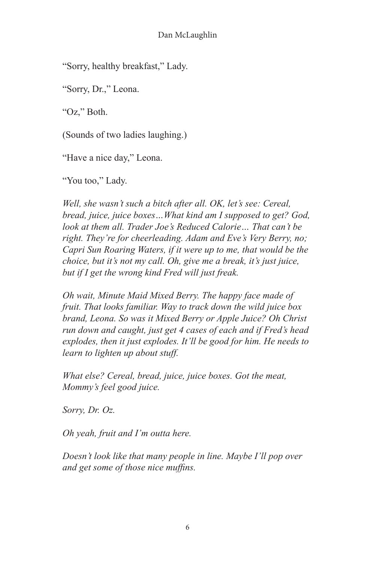"Sorry, healthy breakfast," Lady.

"Sorry, Dr.," Leona.

"Oz," Both.

(Sounds of two ladies laughing.)

"Have a nice day," Leona.

"You too," Lady.

*Well, she wasn't such a bitch after all. OK, let's see: Cereal, bread, juice, juice boxes…What kind am I supposed to get? God, look at them all. Trader Joe's Reduced Calorie… That can't be right. They're for cheerleading. Adam and Eve's Very Berry, no; Capri Sun Roaring Waters, if it were up to me, that would be the choice, but it's not my call. Oh, give me a break, it's just juice, but if I get the wrong kind Fred will just freak.*

*Oh wait, Minute Maid Mixed Berry. The happy face made of fruit. That looks familiar. Way to track down the wild juice box brand, Leona. So was it Mixed Berry or Apple Juice? Oh Christ run down and caught, just get 4 cases of each and if Fred's head explodes, then it just explodes. It'll be good for him. He needs to learn to lighten up about stuff.*

*What else? Cereal, bread, juice, juice boxes. Got the meat, Mommy's feel good juice.*

*Sorry, Dr. Oz.*

*Oh yeah, fruit and I'm outta here.*

*Doesn't look like that many people in line. Maybe I'll pop over and get some of those nice muffins.*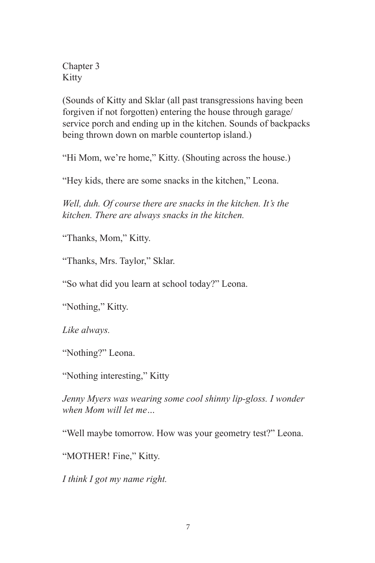Chapter 3 Kitty

(Sounds of Kitty and Sklar (all past transgressions having been forgiven if not forgotten) entering the house through garage/ service porch and ending up in the kitchen. Sounds of backpacks being thrown down on marble countertop island.)

"Hi Mom, we're home," Kitty. (Shouting across the house.)

"Hey kids, there are some snacks in the kitchen," Leona.

*Well, duh. Of course there are snacks in the kitchen. It's the kitchen. There are always snacks in the kitchen.*

"Thanks, Mom," Kitty.

"Thanks, Mrs. Taylor," Sklar.

"So what did you learn at school today?" Leona.

"Nothing," Kitty.

*Like always.*

"Nothing?" Leona.

"Nothing interesting," Kitty

*Jenny Myers was wearing some cool shinny lip-gloss. I wonder when Mom will let me…*

"Well maybe tomorrow. How was your geometry test?" Leona.

"MOTHER! Fine," Kitty.

*I think I got my name right.*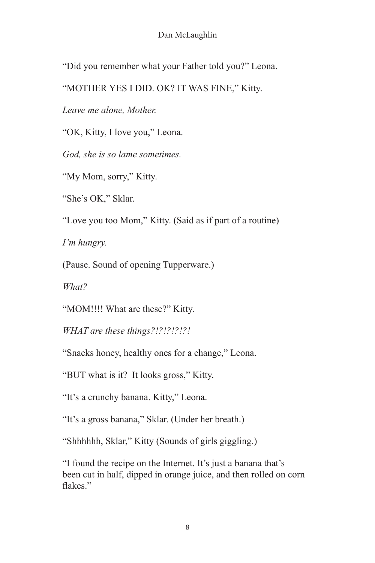### Dan McLaughlin

"Did you remember what your Father told you?" Leona.

"MOTHER YES I DID. OK? IT WAS FINE," Kitty.

*Leave me alone, Mother.*

"OK, Kitty, I love you," Leona.

*God, she is so lame sometimes.*

"My Mom, sorry," Kitty.

"She's OK," Sklar.

"Love you too Mom," Kitty. (Said as if part of a routine)

*I'm hungry.*

(Pause. Sound of opening Tupperware.)

*What?*

"MOM!!!! What are these?" Kitty.

*WHAT are these things?!?!?!?!?!*

"Snacks honey, healthy ones for a change," Leona.

"BUT what is it? It looks gross," Kitty.

"It's a crunchy banana. Kitty," Leona.

"It's a gross banana," Sklar. (Under her breath.)

"Shhhhhh, Sklar," Kitty (Sounds of girls giggling.)

"I found the recipe on the Internet. It's just a banana that's been cut in half, dipped in orange juice, and then rolled on corn flakes."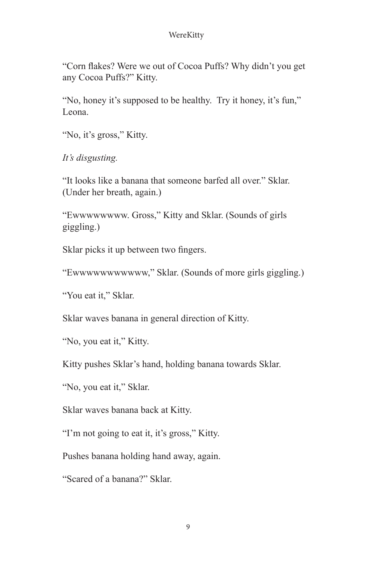"Corn flakes? Were we out of Cocoa Puffs? Why didn't you get any Cocoa Puffs?" Kitty.

"No, honey it's supposed to be healthy. Try it honey, it's fun," Leona.

"No, it's gross," Kitty.

*It's disgusting.*

"It looks like a banana that someone barfed all over." Sklar. (Under her breath, again.)

"Ewwwwwwww. Gross," Kitty and Sklar. (Sounds of girls giggling.)

Sklar picks it up between two fingers.

"Ewwwwwwwwwww," Sklar. (Sounds of more girls giggling.)

"You eat it," Sklar.

Sklar waves banana in general direction of Kitty.

"No, you eat it," Kitty.

Kitty pushes Sklar's hand, holding banana towards Sklar.

"No, you eat it," Sklar.

Sklar waves banana back at Kitty.

"I'm not going to eat it, it's gross," Kitty.

Pushes banana holding hand away, again.

"Scared of a banana?" Sklar.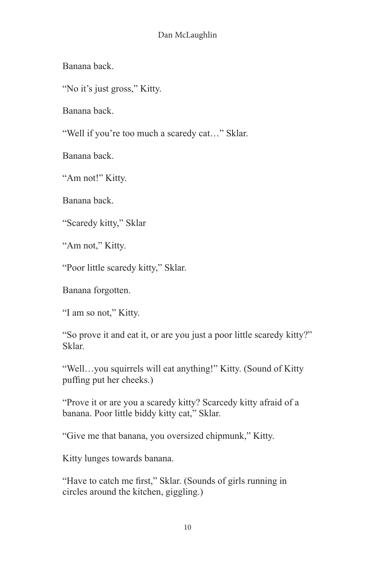### Dan McLaughlin

Banana back.

"No it's just gross," Kitty.

Banana back.

"Well if you're too much a scaredy cat…" Sklar.

Banana back.

"Am not!" Kitty.

Banana back.

"Scaredy kitty," Sklar

"Am not," Kitty.

"Poor little scaredy kitty," Sklar.

Banana forgotten.

"I am so not," Kitty.

"So prove it and eat it, or are you just a poor little scaredy kitty?" Sklar.

"Well…you squirrels will eat anything!" Kitty. (Sound of Kitty puffing put her cheeks.)

"Prove it or are you a scaredy kitty? Scarcedy kitty afraid of a banana. Poor little biddy kitty cat," Sklar.

"Give me that banana, you oversized chipmunk," Kitty.

Kitty lunges towards banana.

"Have to catch me first," Sklar. (Sounds of girls running in circles around the kitchen, giggling.)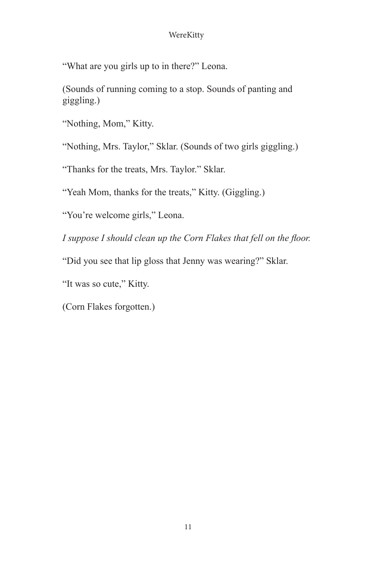"What are you girls up to in there?" Leona.

(Sounds of running coming to a stop. Sounds of panting and giggling.)

"Nothing, Mom," Kitty.

"Nothing, Mrs. Taylor," Sklar. (Sounds of two girls giggling.)

"Thanks for the treats, Mrs. Taylor." Sklar.

"Yeah Mom, thanks for the treats," Kitty. (Giggling.)

"You're welcome girls," Leona.

*I suppose I should clean up the Corn Flakes that fell on the floor.*

"Did you see that lip gloss that Jenny was wearing?" Sklar.

"It was so cute," Kitty.

(Corn Flakes forgotten.)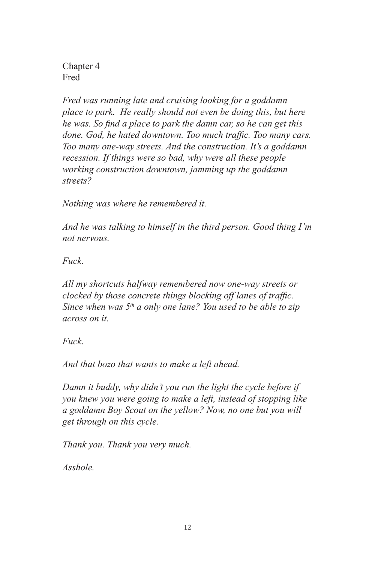Chapter 4 Fred

*Fred was running late and cruising looking for a goddamn place to park. He really should not even be doing this, but here he was. So find a place to park the damn car, so he can get this done. God, he hated downtown. Too much traffic. Too many cars. Too many one-way streets. And the construction. It's a goddamn recession. If things were so bad, why were all these people working construction downtown, jamming up the goddamn streets?* 

*Nothing was where he remembered it.*

*And he was talking to himself in the third person. Good thing I'm not nervous.*

*Fuck.*

*All my shortcuts halfway remembered now one-way streets or clocked by those concrete things blocking off lanes of traffic. Since when was 5th a only one lane? You used to be able to zip across on it.*

*Fuck.*

*And that bozo that wants to make a left ahead.*

*Damn it buddy, why didn't you run the light the cycle before if you knew you were going to make a left, instead of stopping like a goddamn Boy Scout on the yellow? Now, no one but you will get through on this cycle.*

*Thank you. Thank you very much.*

*Asshole.*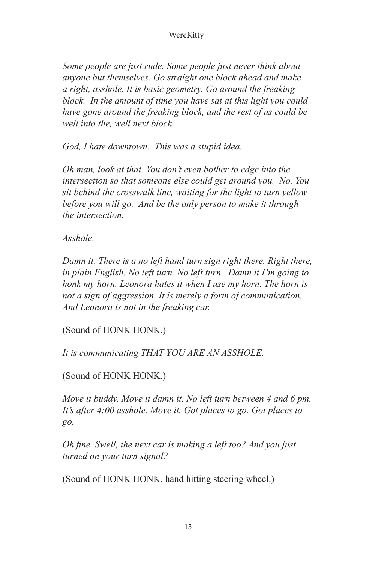*Some people are just rude. Some people just never think about anyone but themselves. Go straight one block ahead and make a right, asshole. It is basic geometry. Go around the freaking block. In the amount of time you have sat at this light you could have gone around the freaking block, and the rest of us could be well into the, well next block.*

*God, I hate downtown. This was a stupid idea.*

*Oh man, look at that. You don't even bother to edge into the intersection so that someone else could get around you. No. You sit behind the crosswalk line, waiting for the light to turn yellow before you will go. And be the only person to make it through the intersection.*

*Asshole.*

*Damn it. There is a no left hand turn sign right there. Right there, in plain English. No left turn. No left turn. Damn it I'm going to honk my horn. Leonora hates it when I use my horn. The horn is not a sign of aggression. It is merely a form of communication. And Leonora is not in the freaking car.*

(Sound of HONK HONK.)

*It is communicating THAT YOU ARE AN ASSHOLE.*

# (Sound of HONK HONK.)

*Move it buddy. Move it damn it. No left turn between 4 and 6 pm. It's after 4:00 asshole. Move it. Got places to go. Got places to go.*

*Oh fine. Swell, the next car is making a left too? And you just turned on your turn signal?*

(Sound of HONK HONK, hand hitting steering wheel.)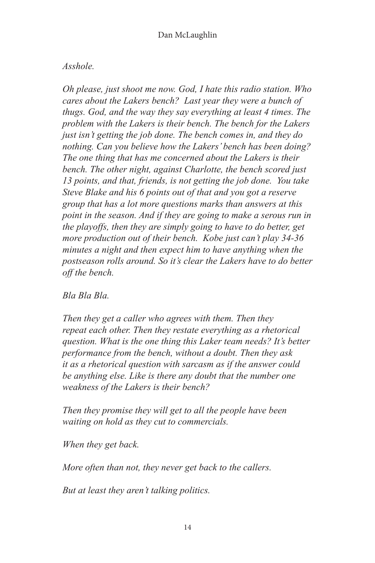# *Asshole.*

*Oh please, just shoot me now. God, I hate this radio station. Who cares about the Lakers bench? Last year they were a bunch of thugs. God, and the way they say everything at least 4 times. The problem with the Lakers is their bench. The bench for the Lakers just isn't getting the job done. The bench comes in, and they do nothing. Can you believe how the Lakers' bench has been doing? The one thing that has me concerned about the Lakers is their bench. The other night, against Charlotte, the bench scored just 13 points, and that, friends, is not getting the job done. You take Steve Blake and his 6 points out of that and you got a reserve group that has a lot more questions marks than answers at this point in the season. And if they are going to make a serous run in the playoffs, then they are simply going to have to do better, get more production out of their bench. Kobe just can't play 34-36 minutes a night and then expect him to have anything when the postseason rolls around. So it's clear the Lakers have to do better off the bench.*

## *Bla Bla Bla.*

*Then they get a caller who agrees with them. Then they repeat each other. Then they restate everything as a rhetorical question. What is the one thing this Laker team needs? It's better performance from the bench, without a doubt. Then they ask it as a rhetorical question with sarcasm as if the answer could be anything else. Like is there any doubt that the number one weakness of the Lakers is their bench?*

*Then they promise they will get to all the people have been waiting on hold as they cut to commercials.*

*When they get back.*

*More often than not, they never get back to the callers.*

*But at least they aren't talking politics.*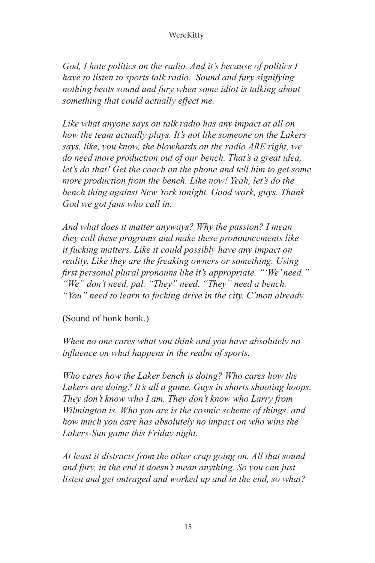*God, I hate politics on the radio. And it's because of politics I have to listen to sports talk radio. Sound and fury signifying nothing beats sound and fury when some idiot is talking about something that could actually effect me.*

*Like what anyone says on talk radio has any impact at all on how the team actually plays. It's not like someone on the Lakers says, like, you know, the blowhards on the radio ARE right, we do need more production out of our bench. That's a great idea, let's do that! Get the coach on the phone and tell him to get some more production from the bench. Like now! Yeah, let's do the bench thing against New York tonight. Good work, guys. Thank God we got fans who call in.*

*And what does it matter anyways? Why the passion? I mean they call these programs and make these pronouncements like it fucking matters. Like it could possibly have any impact on reality. Like they are the freaking owners or something. Using first personal plural pronouns like it's appropriate. "'We' need." "We" don't need, pal. "They" need. "They" need a bench. "You" need to learn to fucking drive in the city. C'mon already.*

(Sound of honk honk.)

*When no one cares what you think and you have absolutely no influence on what happens in the realm of sports.*

*Who cares how the Laker bench is doing? Who cares how the Lakers are doing? It's all a game. Guys in shorts shooting hoops. They don't know who I am. They don't know who Larry from Wilmington is. Who you are is the cosmic scheme of things, and how much you care has absolutely no impact on who wins the Lakers-Sun game this Friday night.*

*At least it distracts from the other crap going on. All that sound and fury, in the end it doesn't mean anything. So you can just listen and get outraged and worked up and in the end, so what?*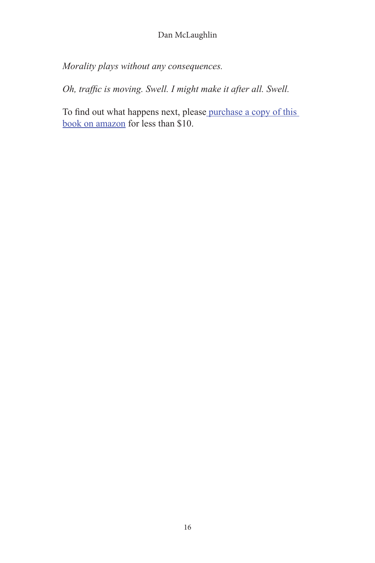*Morality plays without any consequences.*

*Oh, traffic is moving. Swell. I might make it after all. Swell.*

To find out what happens next, please [purchase a copy of this](http://www.amazon.com/WereKitty-Dan-McLaughlin/dp/1482636670/ref%3Dsr_1_1%3Fs%3Dbooks%26ie%3DUTF8%26qid%3D1366014577%26sr%3D1-1%26keywords%3Dwerekitty%2Bdan%2Bmclaughlin)  [book on amazon](http://www.amazon.com/WereKitty-Dan-McLaughlin/dp/1482636670/ref%3Dsr_1_1%3Fs%3Dbooks%26ie%3DUTF8%26qid%3D1366014577%26sr%3D1-1%26keywords%3Dwerekitty%2Bdan%2Bmclaughlin) for less than \$10.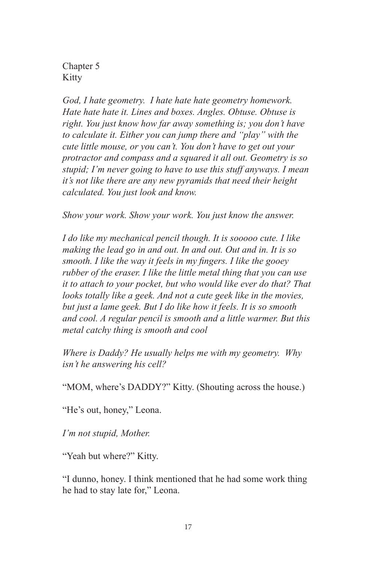Chapter 5 Kitty

*God, I hate geometry. I hate hate hate geometry homework. Hate hate hate it. Lines and boxes. Angles. Obtuse. Obtuse is right. You just know how far away something is; you don't have to calculate it. Either you can jump there and "play" with the cute little mouse, or you can't. You don't have to get out your protractor and compass and a squared it all out. Geometry is so stupid; I'm never going to have to use this stuff anyways. I mean it's not like there are any new pyramids that need their height calculated. You just look and know.*

*Show your work. Show your work. You just know the answer.*

*I do like my mechanical pencil though. It is sooooo cute. I like making the lead go in and out. In and out. Out and in. It is so smooth. I like the way it feels in my fingers. I like the gooey rubber of the eraser. I like the little metal thing that you can use it to attach to your pocket, but who would like ever do that? That*  looks totally like a geek. And not a cute geek like in the movies, *but just a lame geek. But I do like how it feels. It is so smooth and cool. A regular pencil is smooth and a little warmer. But this metal catchy thing is smooth and cool*

*Where is Daddy? He usually helps me with my geometry. Why isn't he answering his cell?*

"MOM, where's DADDY?" Kitty. (Shouting across the house.)

"He's out, honey," Leona.

*I'm not stupid, Mother.*

"Yeah but where?" Kitty.

"I dunno, honey. I think mentioned that he had some work thing he had to stay late for," Leona.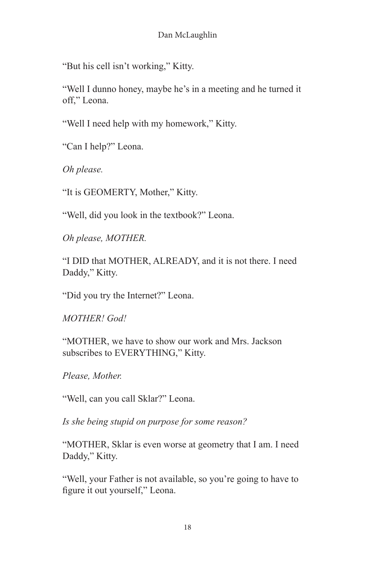"But his cell isn't working," Kitty.

"Well I dunno honey, maybe he's in a meeting and he turned it off," Leona.

"Well I need help with my homework," Kitty.

"Can I help?" Leona.

*Oh please.*

"It is GEOMERTY, Mother," Kitty.

"Well, did you look in the textbook?" Leona.

*Oh please, MOTHER.*

"I DID that MOTHER, ALREADY, and it is not there. I need Daddy," Kitty.

"Did you try the Internet?" Leona.

*MOTHER! God!*

"MOTHER, we have to show our work and Mrs. Jackson subscribes to EVERYTHING," Kitty.

*Please, Mother.*

"Well, can you call Sklar?" Leona.

*Is she being stupid on purpose for some reason?*

"MOTHER, Sklar is even worse at geometry that I am. I need Daddy," Kitty.

"Well, your Father is not available, so you're going to have to figure it out yourself," Leona.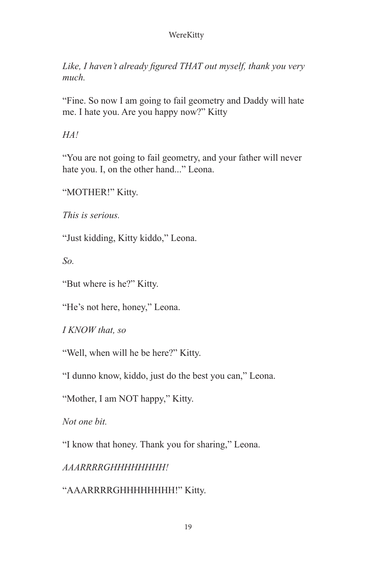*Like, I haven't already figured THAT out myself, thank you very much.*

"Fine. So now I am going to fail geometry and Daddy will hate me. I hate you. Are you happy now?" Kitty

*HA!*

"You are not going to fail geometry, and your father will never hate you. I, on the other hand..." Leona.

"MOTHER!" Kitty.

*This is serious.*

"Just kidding, Kitty kiddo," Leona.

*So.*

"But where is he?" Kitty.

"He's not here, honey," Leona.

*I KNOW that, so*

"Well, when will he be here?" Kitty.

"I dunno know, kiddo, just do the best you can," Leona.

"Mother, I am NOT happy," Kitty.

*Not one bit.*

"I know that honey. Thank you for sharing," Leona.

*AAARRRRGHHHHHHHH!*

"AAARRRRGHHHHHHHH!" Kitty.